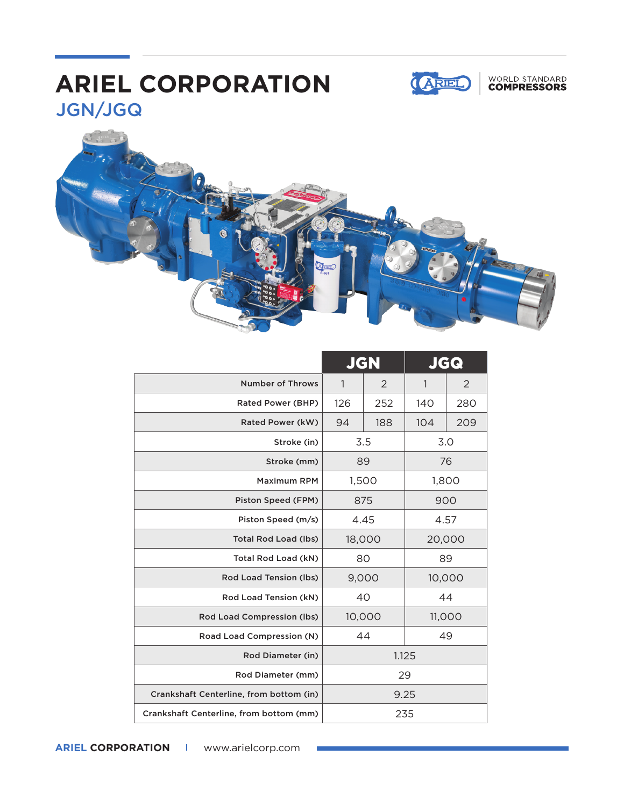## JGN/JGQ **ARIEL CORPORATION**







|                                         | <b>JGN</b> |     | <b>JGG</b> |                |
|-----------------------------------------|------------|-----|------------|----------------|
| <b>Number of Throws</b>                 | 1          | 2   | 1          | $\overline{2}$ |
| Rated Power (BHP)                       | 126        | 252 | 140        | 280            |
| Rated Power (kW)                        | 94         | 188 | 104        | 209            |
| Stroke (in)                             | 3.5        |     | 3.0        |                |
| Stroke (mm)                             | 89         |     | 76         |                |
| <b>Maximum RPM</b>                      | 1,500      |     | 1,800      |                |
| Piston Speed (FPM)                      | 875        |     | 900        |                |
| Piston Speed (m/s)                      | 4.45       |     | 4.57       |                |
| <b>Total Rod Load (lbs)</b>             | 18,000     |     | 20,000     |                |
| Total Rod Load (kN)                     | 80         |     | 89         |                |
| Rod Load Tension (lbs)                  | 9,000      |     | 10,000     |                |
| Rod Load Tension (kN)                   | 40         |     | 44         |                |
| <b>Rod Load Compression (lbs)</b>       | 10,000     |     | 11,000     |                |
| Road Load Compression (N)               | 44         |     | 49         |                |
| Rod Diameter (in)                       | 1.125      |     |            |                |
| Rod Diameter (mm)                       | 29         |     |            |                |
| Crankshaft Centerline, from bottom (in) | 9.25       |     |            |                |
| Crankshaft Centerline, from bottom (mm) | 235        |     |            |                |